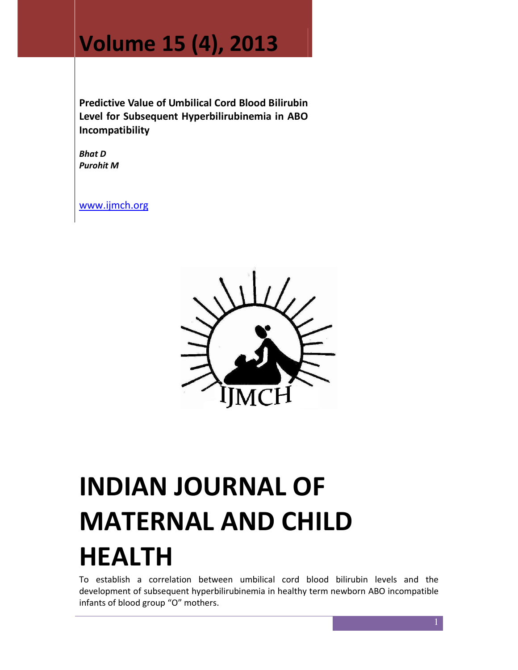## Volume 15 (4), 2013

Predictive Value of Umbilical Cord Blood Bilirubin Level for Subsequent Hyperbilirubinemia in ABO Incompatibility

Bhat D Purohit M

www.ijmch.org



# INDIAN JOURNAL OF MATERNAL AND CHILD HEALTH

To establish a correlation between umbilical cord blood bilirubin levels and the development of subsequent hyperbilirubinemia in healthy term newborn ABO incompatible infants of blood group "O" mothers.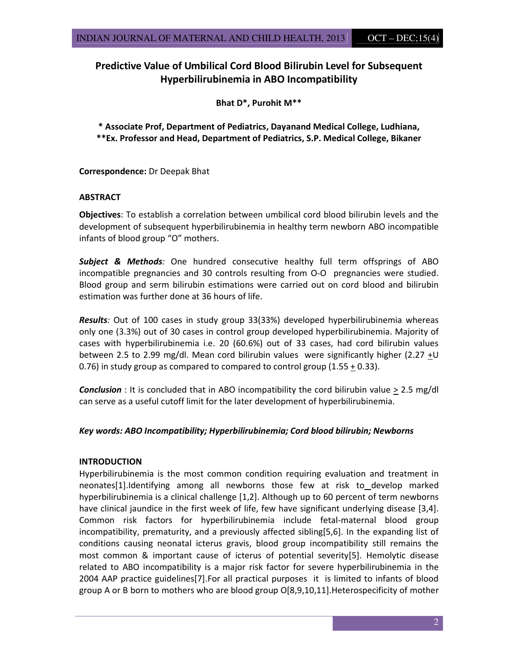#### Predictive Value of Umbilical Cord Blood Bilirubin Level for Subsequent Hyperbilirubinemia in ABO Incompatibility

Bhat D\*, Purohit M\*\*

\* Associate Prof, Department of Pediatrics, Dayanand Medical College, Ludhiana, \*\*Ex. Professor and Head, Department of Pediatrics, S.P. Medical College, Bikaner

Correspondence: Dr Deepak Bhat

#### **ABSTRACT**

Objectives: To establish a correlation between umbilical cord blood bilirubin levels and the development of subsequent hyperbilirubinemia in healthy term newborn ABO incompatible infants of blood group "O" mothers.

**Subject & Methods:** One hundred consecutive healthy full term offsprings of ABO incompatible pregnancies and 30 controls resulting from O-O pregnancies were studied. Blood group and serm bilirubin estimations were carried out on cord blood and bilirubin estimation was further done at 36 hours of life.

Results: Out of 100 cases in study group 33(33%) developed hyperbilirubinemia whereas only one (3.3%) out of 30 cases in control group developed hyperbilirubinemia. Majority of cases with hyperbilirubinemia i.e. 20 (60.6%) out of 33 cases, had cord bilirubin values between 2.5 to 2.99 mg/dl. Mean cord bilirubin values were significantly higher (2.27 +U 0.76) in study group as compared to compared to control group (1.55  $\pm$  0.33).

**Conclusion** : It is concluded that in ABO incompatibility the cord bilirubin value  $> 2.5$  mg/dl can serve as a useful cutoff limit for the later development of hyperbilirubinemia.

#### Key words: ABO Incompatibility; Hyperbilirubinemia; Cord blood bilirubin; Newborns

#### **INTRODUCTION**

Hyperbilirubinemia is the most common condition requiring evaluation and treatment in neonates[1].Identifying among all newborns those few at risk to develop marked hyperbilirubinemia is a clinical challenge [1,2]. Although up to 60 percent of term newborns have clinical jaundice in the first week of life, few have significant underlying disease [3,4]. Common risk factors for hyperbilirubinemia include fetal-maternal blood group incompatibility, prematurity, and a previously affected sibling[5,6]. In the expanding list of conditions causing neonatal icterus gravis, blood group incompatibility still remains the most common & important cause of icterus of potential severity[5]. Hemolytic disease related to ABO incompatibility is a major risk factor for severe hyperbilirubinemia in the 2004 AAP practice guidelines[7].For all practical purposes it is limited to infants of blood group A or B born to mothers who are blood group O[8,9,10,11].Heterospecificity of mother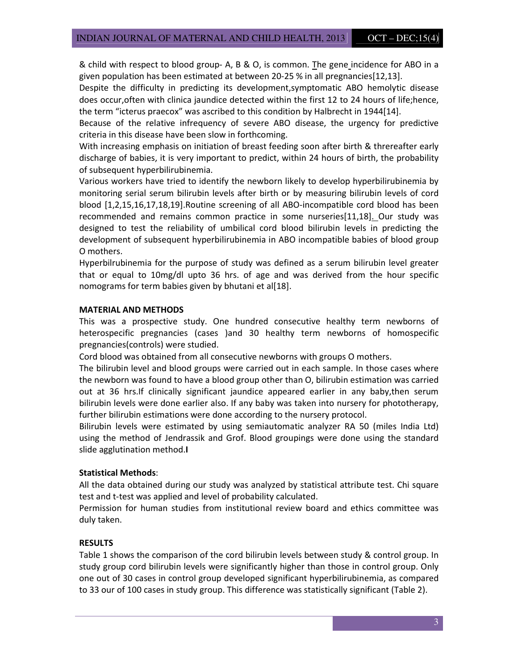& child with respect to blood group- A, B & O, is common. The gene incidence for ABO in a given population has been estimated at between 20-25 % in all pregnancies[12,13].

Despite the difficulty in predicting its development,symptomatic ABO hemolytic disease does occur,often with clinica jaundice detected within the first 12 to 24 hours of life;hence, the term "icterus praecox" was ascribed to this condition by Halbrecht in 1944[14].

Because of the relative infrequency of severe ABO disease, the urgency for predictive criteria in this disease have been slow in forthcoming.

With increasing emphasis on initiation of breast feeding soon after birth & threreafter early discharge of babies, it is very important to predict, within 24 hours of birth, the probability of subsequent hyperbilirubinemia.

Various workers have tried to identify the newborn likely to develop hyperbilirubinemia by monitoring serial serum bilirubin levels after birth or by measuring bilirubin levels of cord blood [1,2,15,16,17,18,19].Routine screening of all ABO-incompatible cord blood has been recommended and remains common practice in some nurseries[11,18]. Our study was designed to test the reliability of umbilical cord blood bilirubin levels in predicting the development of subsequent hyperbilirubinemia in ABO incompatible babies of blood group O mothers.

Hyperbilrubinemia for the purpose of study was defined as a serum bilirubin level greater that or equal to 10mg/dl upto 36 hrs. of age and was derived from the hour specific nomograms for term babies given by bhutani et al[18].

#### MATERIAL AND METHODS

This was a prospective study. One hundred consecutive healthy term newborns of heterospecific pregnancies (cases )and 30 healthy term newborns of homospecific pregnancies(controls) were studied.

Cord blood was obtained from all consecutive newborns with groups O mothers.

The bilirubin level and blood groups were carried out in each sample. In those cases where the newborn was found to have a blood group other than O, bilirubin estimation was carried out at 36 hrs.If clinically significant jaundice appeared earlier in any baby,then serum bilirubin levels were done earlier also. If any baby was taken into nursery for phototherapy, further bilirubin estimations were done according to the nursery protocol.

Bilirubin levels were estimated by using semiautomatic analyzer RA 50 (miles India Ltd) using the method of Jendrassik and Grof. Blood groupings were done using the standard slide agglutination method.I

#### Statistical Methods:

All the data obtained during our study was analyzed by statistical attribute test. Chi square test and t-test was applied and level of probability calculated.

Permission for human studies from institutional review board and ethics committee was duly taken.

#### RESULTS

Table 1 shows the comparison of the cord bilirubin levels between study & control group. In study group cord bilirubin levels were significantly higher than those in control group. Only one out of 30 cases in control group developed significant hyperbilirubinemia, as compared to 33 our of 100 cases in study group. This difference was statistically significant (Table 2).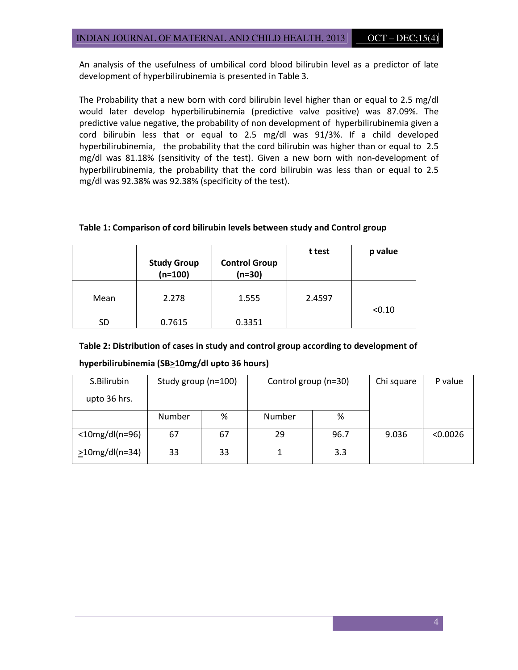An analysis of the usefulness of umbilical cord blood bilirubin level as a predictor of late development of hyperbilirubinemia is presented in Table 3.

The Probability that a new born with cord bilirubin level higher than or equal to 2.5 mg/dl would later develop hyperbilirubinemia (predictive valve positive) was 87.09%. The predictive value negative, the probability of non development of hyperbilirubinemia given a cord bilirubin less that or equal to 2.5 mg/dl was 91/3%. If a child developed hyperbilirubinemia, the probability that the cord bilirubin was higher than or equal to 2.5 mg/dl was 81.18% (sensitivity of the test). Given a new born with non-development of hyperbilirubinemia, the probability that the cord bilirubin was less than or equal to 2.5 mg/dl was 92.38% was 92.38% (specificity of the test).

#### Table 1: Comparison of cord bilirubin levels between study and Control group

|      | <b>Study Group</b><br>$(n=100)$ | <b>Control Group</b><br>$(n=30)$ | t test | p value |
|------|---------------------------------|----------------------------------|--------|---------|
| Mean | 2.278                           | 1.555                            | 2.4597 |         |
| SD   | 0.7615                          | 0.3351                           |        | < 0.10  |

### Table 2: Distribution of cases in study and control group according to development of

| S.Bilirubin          | Study group (n=100) |    | Control group (n=30) |      | Chi square | P value  |
|----------------------|---------------------|----|----------------------|------|------------|----------|
| upto 36 hrs.         |                     |    |                      |      |            |          |
|                      | Number              | %  | Number               | %    |            |          |
| $<$ 10mg/dl(n=96)    | 67                  | 67 | 29                   | 96.7 | 9.036      | < 0.0026 |
| $\geq$ 10mg/dl(n=34) | 33                  | 33 |                      | 3.3  |            |          |

#### hyperbilirubinemia (SB>10mg/dl upto 36 hours)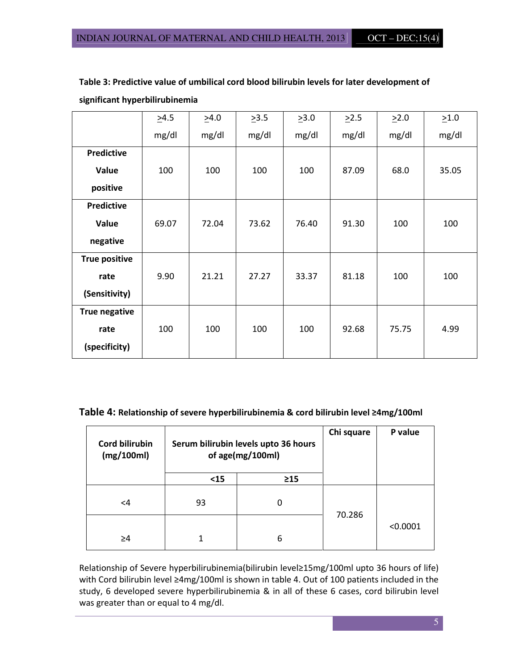|                      | >4.5  | >4.0  | >3.5  | >3.0  | $\geq$ 2.5 | >2.0  | >1.0  |
|----------------------|-------|-------|-------|-------|------------|-------|-------|
|                      | mg/dl | mg/dl | mg/dl | mg/dl | mg/dl      | mg/dl | mg/dl |
| Predictive           |       |       |       |       |            |       |       |
| Value                | 100   | 100   | 100   | 100   | 87.09      | 68.0  | 35.05 |
| positive             |       |       |       |       |            |       |       |
| Predictive           |       |       |       |       |            |       |       |
| Value                | 69.07 | 72.04 | 73.62 | 76.40 | 91.30      | 100   | 100   |
| negative             |       |       |       |       |            |       |       |
| <b>True positive</b> |       |       |       |       |            |       |       |
| rate                 | 9.90  | 21.21 | 27.27 | 33.37 | 81.18      | 100   | 100   |
| (Sensitivity)        |       |       |       |       |            |       |       |
| <b>True negative</b> |       |       |       |       |            |       |       |
| rate                 | 100   | 100   | 100   | 100   | 92.68      | 75.75 | 4.99  |
| (specificity)        |       |       |       |       |            |       |       |

Table 3: Predictive value of umbilical cord blood bilirubin levels for later development of significant hyperbilirubinemia

#### Table 4: Relationship of severe hyperbilirubinemia & cord bilirubin level ≥4mg/100ml

| <b>Cord bilirubin</b><br>(mg/100ml) |      | Serum bilirubin levels upto 36 hours<br>of age(mg/100ml) | Chi square | P value  |
|-------------------------------------|------|----------------------------------------------------------|------------|----------|
|                                     | $15$ | $\geq$ 15                                                |            |          |
| $\leq 4$                            | 93   | 0                                                        |            |          |
| ≥4                                  | 1    | 6                                                        | 70.286     | < 0.0001 |

Relationship of Severe hyperbilirubinemia(bilirubin level≥15mg/100ml upto 36 hours of life) with Cord bilirubin level ≥4mg/100ml is shown in table 4. Out of 100 patients included in the study, 6 developed severe hyperbilirubinemia & in all of these 6 cases, cord bilirubin level was greater than or equal to 4 mg/dl.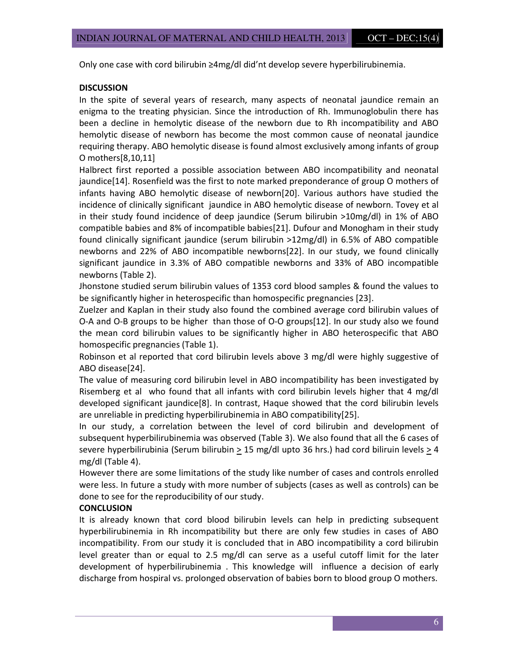Only one case with cord bilirubin ≥4mg/dl did'nt develop severe hyperbilirubinemia.

#### **DISCUSSION**

In the spite of several years of research, many aspects of neonatal jaundice remain an enigma to the treating physician. Since the introduction of Rh. Immunoglobulin there has been a decline in hemolytic disease of the newborn due to Rh incompatibility and ABO hemolytic disease of newborn has become the most common cause of neonatal jaundice requiring therapy. ABO hemolytic disease is found almost exclusively among infants of group O mothers[8,10,11]

Halbrect first reported a possible association between ABO incompatibility and neonatal jaundice[14]. Rosenfield was the first to note marked preponderance of group O mothers of infants having ABO hemolytic disease of newborn[20]. Various authors have studied the incidence of clinically significant jaundice in ABO hemolytic disease of newborn. Tovey et al in their study found incidence of deep jaundice (Serum bilirubin >10mg/dl) in 1% of ABO compatible babies and 8% of incompatible babies[21]. Dufour and Monogham in their study found clinically significant jaundice (serum bilirubin >12mg/dl) in 6.5% of ABO compatible newborns and 22% of ABO incompatible newborns[22]. In our study, we found clinically significant jaundice in 3.3% of ABO compatible newborns and 33% of ABO incompatible newborns (Table 2).

Jhonstone studied serum bilirubin values of 1353 cord blood samples & found the values to be significantly higher in heterospecific than homospecific pregnancies [23].

Zuelzer and Kaplan in their study also found the combined average cord bilirubin values of O-A and O-B groups to be higher than those of O-O groups[12]. In our study also we found the mean cord bilirubin values to be significantly higher in ABO heterospecific that ABO homospecific pregnancies (Table 1).

Robinson et al reported that cord bilirubin levels above 3 mg/dl were highly suggestive of ABO disease[24].

The value of measuring cord bilirubin level in ABO incompatibility has been investigated by Risemberg et al who found that all infants with cord bilirubin levels higher that 4 mg/dl developed significant jaundice[8]. In contrast, Haque showed that the cord bilirubin levels are unreliable in predicting hyperbilirubinemia in ABO compatibility[25].

In our study, a correlation between the level of cord bilirubin and development of subsequent hyperbilirubinemia was observed (Table 3). We also found that all the 6 cases of severe hyperbilirubinia (Serum bilirubin  $\geq 15$  mg/dl upto 36 hrs.) had cord biliruin levels  $\geq 4$ mg/dl (Table 4).

However there are some limitations of the study like number of cases and controls enrolled were less. In future a study with more number of subjects (cases as well as controls) can be done to see for the reproducibility of our study.

#### **CONCLUSION**

It is already known that cord blood bilirubin levels can help in predicting subsequent hyperbilirubinemia in Rh incompatibility but there are only few studies in cases of ABO incompatibility. From our study it is concluded that in ABO incompatibility a cord bilirubin level greater than or equal to 2.5 mg/dl can serve as a useful cutoff limit for the later development of hyperbilirubinemia . This knowledge will influence a decision of early discharge from hospiral vs. prolonged observation of babies born to blood group O mothers.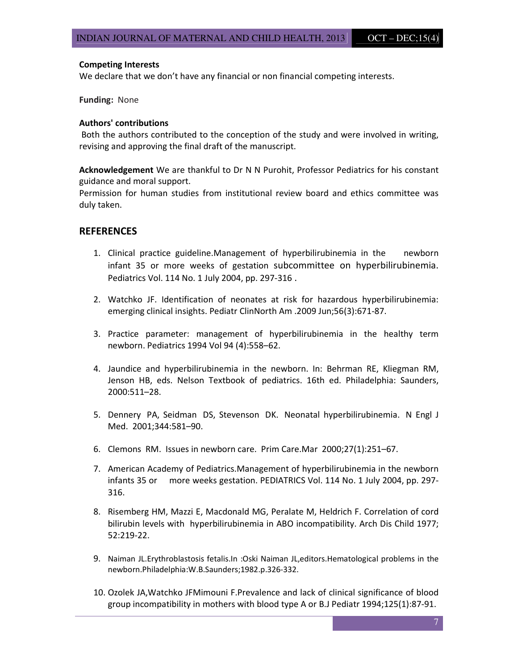#### Competing Interests

We declare that we don't have any financial or non financial competing interests.

Funding: None

#### Authors' contributions

 Both the authors contributed to the conception of the study and were involved in writing, revising and approving the final draft of the manuscript.

Acknowledgement We are thankful to Dr N N Purohit, Professor Pediatrics for his constant guidance and moral support.

Permission for human studies from institutional review board and ethics committee was duly taken.

#### REFERENCES

- 1. Clinical practice guideline.Management of hyperbilirubinemia in the newborn infant 35 or more weeks of gestation subcommittee on hyperbilirubinemia. Pediatrics Vol. 114 No. 1 July 2004, pp. 297-316 .
- 2. Watchko JF. Identification of neonates at risk for hazardous hyperbilirubinemia: emerging clinical insights. Pediatr ClinNorth Am .2009 Jun;56(3):671-87.
- 3. Practice parameter: management of hyperbilirubinemia in the healthy term newborn. Pediatrics 1994 Vol 94 (4):558–62.
- 4. Jaundice and hyperbilirubinemia in the newborn. In: Behrman RE, Kliegman RM, Jenson HB, eds. Nelson Textbook of pediatrics. 16th ed. Philadelphia: Saunders, 2000:511–28.
- 5. Dennery PA, Seidman DS, Stevenson DK. Neonatal hyperbilirubinemia. N Engl J Med. 2001;344:581–90.
- 6. Clemons RM. Issues in newborn care. Prim Care.Mar 2000;27(1):251–67.
- 7. American Academy of Pediatrics.Management of hyperbilirubinemia in the newborn infants 35 or more weeks gestation. PEDIATRICS Vol. 114 No. 1 July 2004, pp. 297- 316.
- 8. Risemberg HM, Mazzi E, Macdonald MG, Peralate M, Heldrich F. Correlation of cord bilirubin levels with hyperbilirubinemia in ABO incompatibility. Arch Dis Child 1977; 52:219-22.
- 9. Naiman JL.Erythroblastosis fetalis.In :Oski Naiman JL,editors.Hematological problems in the newborn.Philadelphia:W.B.Saunders;1982.p.326-332.
- 10. Ozolek JA,Watchko JFMimouni F.Prevalence and lack of clinical significance of blood group incompatibility in mothers with blood type A or B.J Pediatr 1994;125(1):87-91.